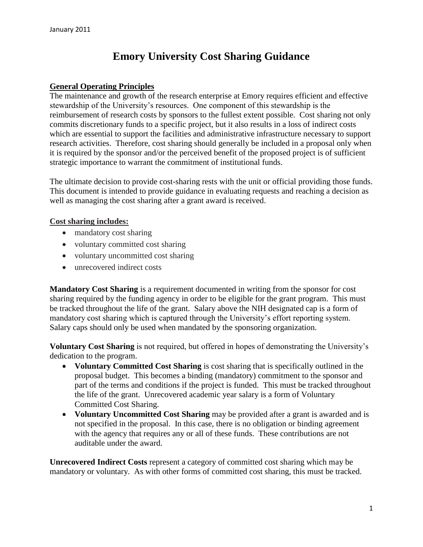# **Emory University Cost Sharing Guidance**

#### **General Operating Principles**

The maintenance and growth of the research enterprise at Emory requires efficient and effective stewardship of the University's resources. One component of this stewardship is the reimbursement of research costs by sponsors to the fullest extent possible. Cost sharing not only commits discretionary funds to a specific project, but it also results in a loss of indirect costs which are essential to support the facilities and administrative infrastructure necessary to support research activities. Therefore, cost sharing should generally be included in a proposal only when it is required by the sponsor and/or the perceived benefit of the proposed project is of sufficient strategic importance to warrant the commitment of institutional funds.

The ultimate decision to provide cost-sharing rests with the unit or official providing those funds. This document is intended to provide guidance in evaluating requests and reaching a decision as well as managing the cost sharing after a grant award is received.

#### **Cost sharing includes:**

- mandatory cost sharing
- voluntary committed cost sharing
- voluntary uncommitted cost sharing
- unrecovered indirect costs

**Mandatory Cost Sharing** is a requirement documented in writing from the sponsor for cost sharing required by the funding agency in order to be eligible for the grant program. This must be tracked throughout the life of the grant. Salary above the NIH designated cap is a form of mandatory cost sharing which is captured through the University's effort reporting system. Salary caps should only be used when mandated by the sponsoring organization.

**Voluntary Cost Sharing** is not required, but offered in hopes of demonstrating the University's dedication to the program.

- **Voluntary Committed Cost Sharing** is cost sharing that is specifically outlined in the proposal budget. This becomes a binding (mandatory) commitment to the sponsor and part of the terms and conditions if the project is funded. This must be tracked throughout the life of the grant. Unrecovered academic year salary is a form of Voluntary Committed Cost Sharing.
- **Voluntary Uncommitted Cost Sharing** may be provided after a grant is awarded and is not specified in the proposal. In this case, there is no obligation or binding agreement with the agency that requires any or all of these funds. These contributions are not auditable under the award.

**Unrecovered Indirect Costs** represent a category of committed cost sharing which may be mandatory or voluntary. As with other forms of committed cost sharing, this must be tracked.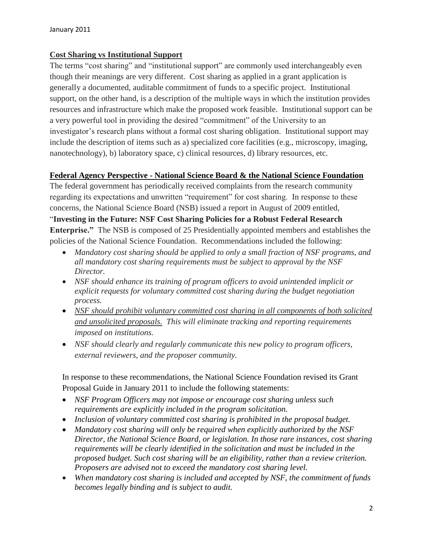### **Cost Sharing vs Institutional Support**

The terms "cost sharing" and "institutional support" are commonly used interchangeably even though their meanings are very different. Cost sharing as applied in a grant application is generally a documented, auditable commitment of funds to a specific project. Institutional support, on the other hand, is a description of the multiple ways in which the institution provides resources and infrastructure which make the proposed work feasible. Institutional support can be a very powerful tool in providing the desired "commitment" of the University to an investigator's research plans without a formal cost sharing obligation. Institutional support may include the description of items such as a) specialized core facilities (e.g., microscopy, imaging, nanotechnology), b) laboratory space, c) clinical resources, d) library resources, etc.

### **Federal Agency Perspective - National Science Board & the National Science Foundation**

The federal government has periodically received complaints from the research community regarding its expectations and unwritten "requirement" for cost sharing. In response to these concerns, the National Science Board (NSB) issued a report in August of 2009 entitled, "**Investing in the Future: NSF Cost Sharing Policies for a Robust Federal Research Enterprise."** The NSB is composed of 25 Presidentially appointed members and establishes the policies of the National Science Foundation. Recommendations included the following:

- *Mandatory cost sharing should be applied to only a small fraction of NSF programs, and all mandatory cost sharing requirements must be subject to approval by the NSF Director.*
- *NSF should enhance its training of program officers to avoid unintended implicit or explicit requests for voluntary committed cost sharing during the budget negotiation process.*
- *NSF should prohibit voluntary committed cost sharing in all components of both solicited and unsolicited proposals. This will eliminate tracking and reporting requirements imposed on institutions.*
- *NSF should clearly and regularly communicate this new policy to program officers, external reviewers, and the proposer community.*

In response to these recommendations, the National Science Foundation revised its Grant Proposal Guide in January 2011 to include the following statements:

- *NSF Program Officers may not impose or encourage cost sharing unless such requirements are explicitly included in the program solicitation.*
- *Inclusion of voluntary committed cost sharing is prohibited in the proposal budget.*
- *Mandatory cost sharing will only be required when explicitly authorized by the NSF Director, the National Science Board, or legislation. In those rare instances, cost sharing requirements will be clearly identified in the solicitation and must be included in the proposed budget. Such cost sharing will be an eligibility, rather than a review criterion. Proposers are advised not to exceed the mandatory cost sharing level.*
- *When mandatory cost sharing is included and accepted by NSF, the commitment of funds becomes legally binding and is subject to audit.*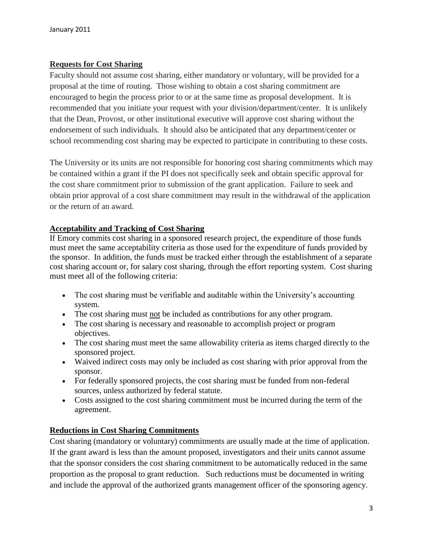## **Requests for Cost Sharing**

Faculty should not assume cost sharing, either mandatory or voluntary, will be provided for a proposal at the time of routing. Those wishing to obtain a cost sharing commitment are encouraged to begin the process prior to or at the same time as proposal development. It is recommended that you initiate your request with your division/department/center. It is unlikely that the Dean, Provost, or other institutional executive will approve cost sharing without the endorsement of such individuals. It should also be anticipated that any department/center or school recommending cost sharing may be expected to participate in contributing to these costs.

The University or its units are not responsible for honoring cost sharing commitments which may be contained within a grant if the PI does not specifically seek and obtain specific approval for the cost share commitment prior to submission of the grant application. Failure to seek and obtain prior approval of a cost share commitment may result in the withdrawal of the application or the return of an award.

### **Acceptability and Tracking of Cost Sharing**

If Emory commits cost sharing in a sponsored research project, the expenditure of those funds must meet the same acceptability criteria as those used for the expenditure of funds provided by the sponsor. In addition, the funds must be tracked either through the establishment of a separate cost sharing account or, for salary cost sharing, through the effort reporting system. Cost sharing must meet all of the following criteria:

- The cost sharing must be verifiable and auditable within the University's accounting system.
- The cost sharing must not be included as contributions for any other program.
- The cost sharing is necessary and reasonable to accomplish project or program objectives.
- The cost sharing must meet the same allowability criteria as items charged directly to the sponsored project.
- Waived indirect costs may only be included as cost sharing with prior approval from the sponsor.
- For federally sponsored projects, the cost sharing must be funded from non-federal sources, unless authorized by federal statute.
- Costs assigned to the cost sharing commitment must be incurred during the term of the agreement.

### **Reductions in Cost Sharing Commitments**

Cost sharing (mandatory or voluntary) commitments are usually made at the time of application. If the grant award is less than the amount proposed, investigators and their units cannot assume that the sponsor considers the cost sharing commitment to be automatically reduced in the same proportion as the proposal to grant reduction. Such reductions must be documented in writing and include the approval of the authorized grants management officer of the sponsoring agency.